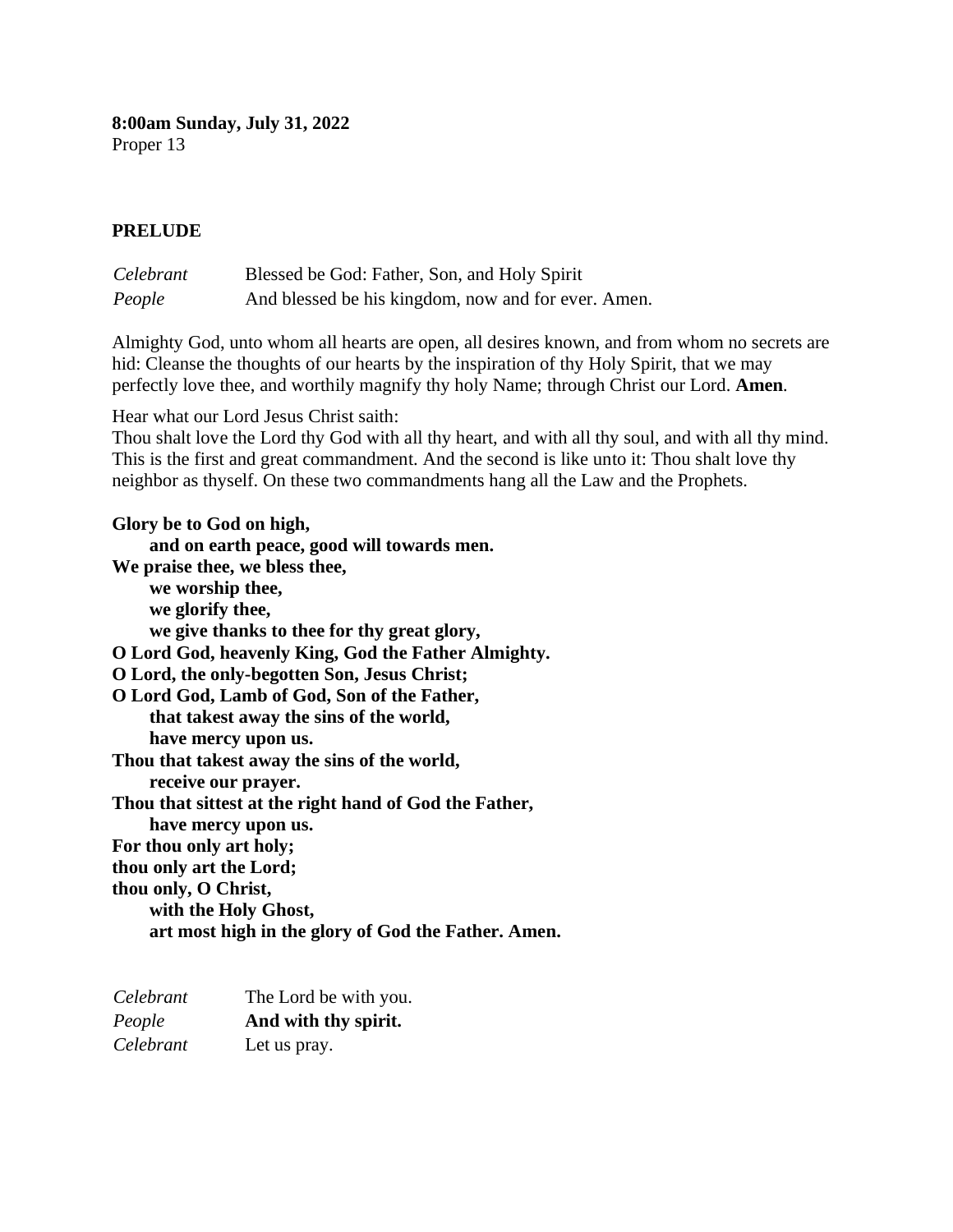**8:00am Sunday, July 31, 2022** Proper 13

#### **PRELUDE**

| Celebrant | Blessed be God: Father, Son, and Holy Spirit        |
|-----------|-----------------------------------------------------|
| People    | And blessed be his kingdom, now and for ever. Amen. |

Almighty God, unto whom all hearts are open, all desires known, and from whom no secrets are hid: Cleanse the thoughts of our hearts by the inspiration of thy Holy Spirit, that we may perfectly love thee, and worthily magnify thy holy Name; through Christ our Lord. **Amen***.*

Hear what our Lord Jesus Christ saith:

Thou shalt love the Lord thy God with all thy heart, and with all thy soul, and with all thy mind. This is the first and great commandment. And the second is like unto it: Thou shalt love thy neighbor as thyself. On these two commandments hang all the Law and the Prophets.

**Glory be to God on high, and on earth peace, good will towards men. We praise thee, we bless thee, we worship thee, we glorify thee, we give thanks to thee for thy great glory, O Lord God, heavenly King, God the Father Almighty. O Lord, the only-begotten Son, Jesus Christ; O Lord God, Lamb of God, Son of the Father, that takest away the sins of the world, have mercy upon us. Thou that takest away the sins of the world, receive our prayer. Thou that sittest at the right hand of God the Father, have mercy upon us. For thou only art holy; thou only art the Lord; thou only, O Christ, with the Holy Ghost, art most high in the glory of God the Father. Amen.**

| Celebrant | The Lord be with you. |
|-----------|-----------------------|
| People    | And with thy spirit.  |
| Celebrant | Let us pray.          |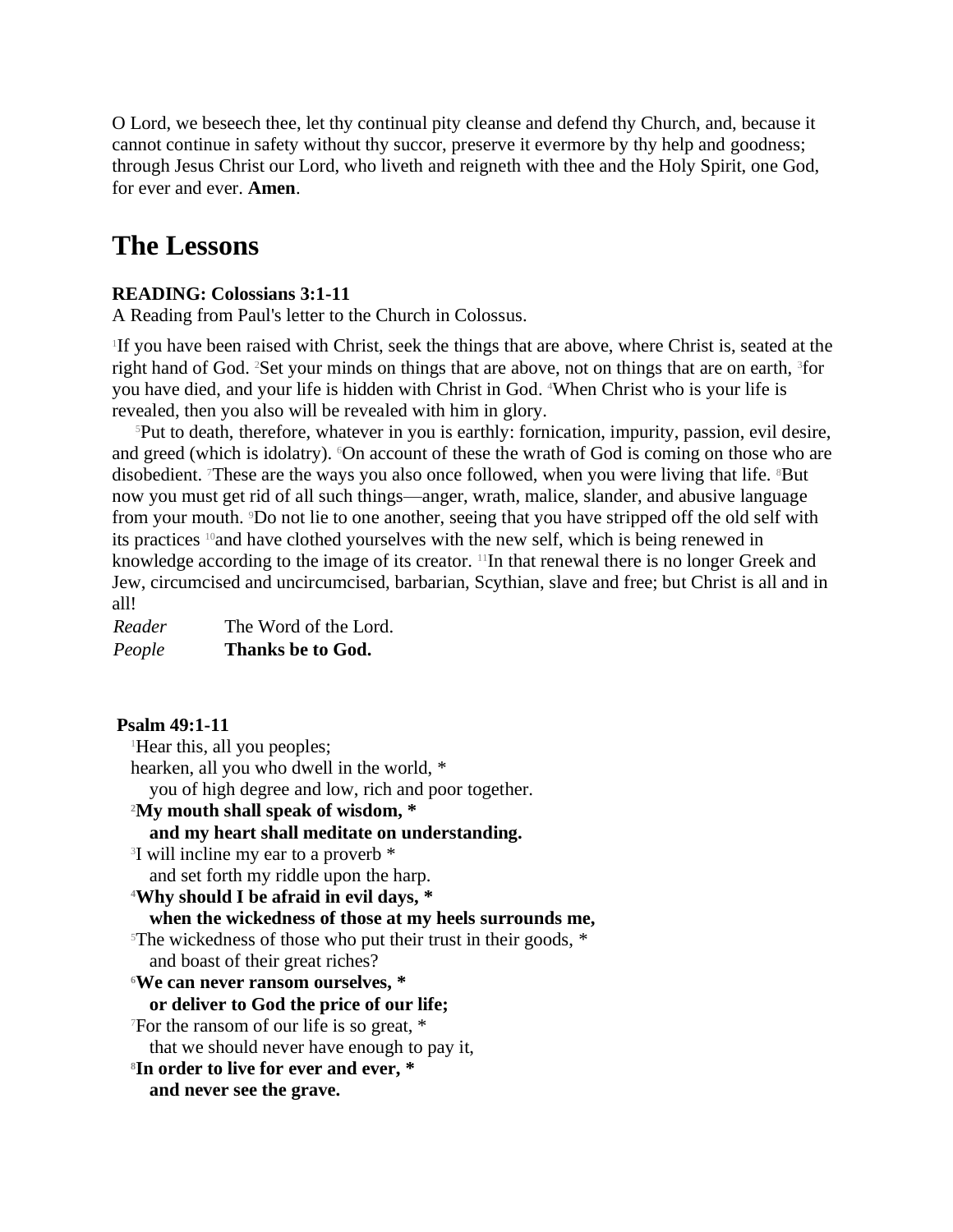O Lord, we beseech thee, let thy continual pity cleanse and defend thy Church, and, because it cannot continue in safety without thy succor, preserve it evermore by thy help and goodness; through Jesus Christ our Lord, who liveth and reigneth with thee and the Holy Spirit, one God, for ever and ever. **Amen**.

## **The Lessons**

## **READING: Colossians 3:1-11**

A Reading from Paul's letter to the Church in Colossus.

1 If you have been raised with Christ, seek the things that are above, where Christ is, seated at the right hand of God. <sup>2</sup>Set your minds on things that are above, not on things that are on earth, <sup>3</sup>for you have died, and your life is hidden with Christ in God. <sup>4</sup>When Christ who is your life is revealed, then you also will be revealed with him in glory.

<sup>5</sup>Put to death, therefore, whatever in you is earthly: fornication, impurity, passion, evil desire, and greed (which is idolatry). <sup>6</sup>On account of these the wrath of God is coming on those who are disobedient. These are the ways you also once followed, when you were living that life. <sup>8</sup>But now you must get rid of all such things—anger, wrath, malice, slander, and abusive language from your mouth. 9Do not lie to one another, seeing that you have stripped off the old self with its practices 10and have clothed yourselves with the new self, which is being renewed in knowledge according to the image of its creator. 11In that renewal there is no longer Greek and Jew, circumcised and uncircumcised, barbarian, Scythian, slave and free; but Christ is all and in all!

| Reader | The Word of the Lord. |
|--------|-----------------------|
| People | Thanks be to God.     |

**Psalm 49:1-11** <sup>1</sup>Hear this, all you peoples; hearken, all you who dwell in the world, \* you of high degree and low, rich and poor together. **<sup>2</sup>My mouth shall speak of wisdom, \* and my heart shall meditate on understanding.** 3 I will incline my ear to a proverb \* and set forth my riddle upon the harp. **<sup>4</sup>Why should I be afraid in evil days, \* when the wickedness of those at my heels surrounds me,** <sup>5</sup>The wickedness of those who put their trust in their goods,  $*$ and boast of their great riches? **<sup>6</sup>We can never ransom ourselves, \* or deliver to God the price of our life;** <sup>7</sup>For the ransom of our life is so great, \* that we should never have enough to pay it, **8 In order to live for ever and ever, \* and never see the grave.**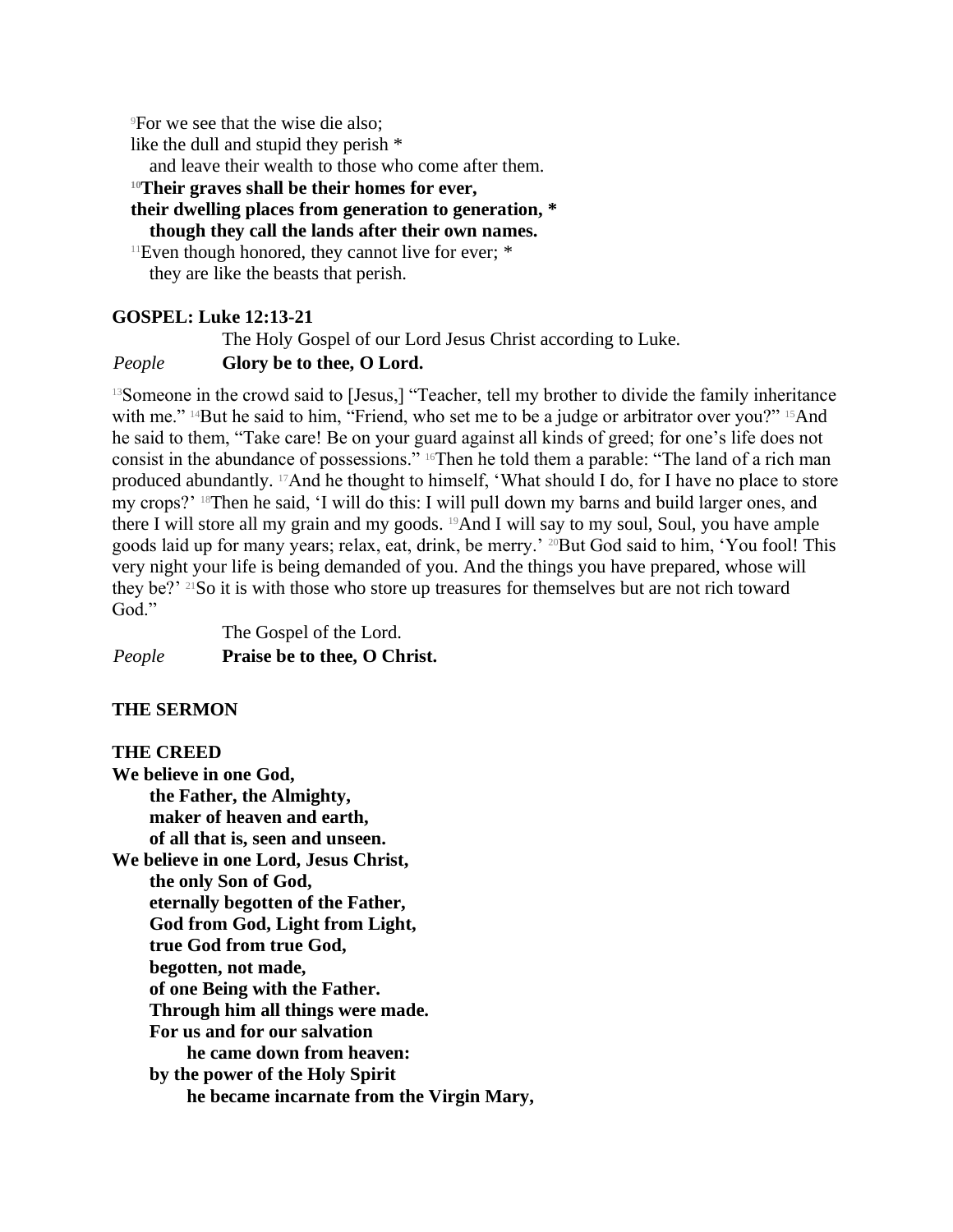<sup>9</sup>For we see that the wise die also;

like the dull and stupid they perish \*

and leave their wealth to those who come after them.

**<sup>10</sup>Their graves shall be their homes for ever,**

**their dwelling places from generation to generation, \***

**though they call the lands after their own names.**

 $11$ Even though honored, they cannot live for ever;  $*$ they are like the beasts that perish.

## **GOSPEL: Luke 12:13-21**

The Holy Gospel of our Lord Jesus Christ according to Luke.

## *People* **Glory be to thee, O Lord.**

<sup>13</sup>Someone in the crowd said to [Jesus,] "Teacher, tell my brother to divide the family inheritance with me." <sup>14</sup>But he said to him, "Friend, who set me to be a judge or arbitrator over you?" <sup>15</sup>And he said to them, "Take care! Be on your guard against all kinds of greed; for one's life does not consist in the abundance of possessions." 16Then he told them a parable: "The land of a rich man produced abundantly. 17And he thought to himself, 'What should I do, for I have no place to store my crops?' 18Then he said, 'I will do this: I will pull down my barns and build larger ones, and there I will store all my grain and my goods. 19And I will say to my soul, Soul, you have ample goods laid up for many years; relax, eat, drink, be merry.' 20But God said to him, 'You fool! This very night your life is being demanded of you. And the things you have prepared, whose will they be?' 21So it is with those who store up treasures for themselves but are not rich toward God."

The Gospel of the Lord. *People* **Praise be to thee, O Christ.**

## **THE SERMON**

## **THE CREED**

**We believe in one God, the Father, the Almighty, maker of heaven and earth, of all that is, seen and unseen. We believe in one Lord, Jesus Christ, the only Son of God, eternally begotten of the Father, God from God, Light from Light, true God from true God, begotten, not made, of one Being with the Father. Through him all things were made. For us and for our salvation he came down from heaven: by the power of the Holy Spirit he became incarnate from the Virgin Mary,**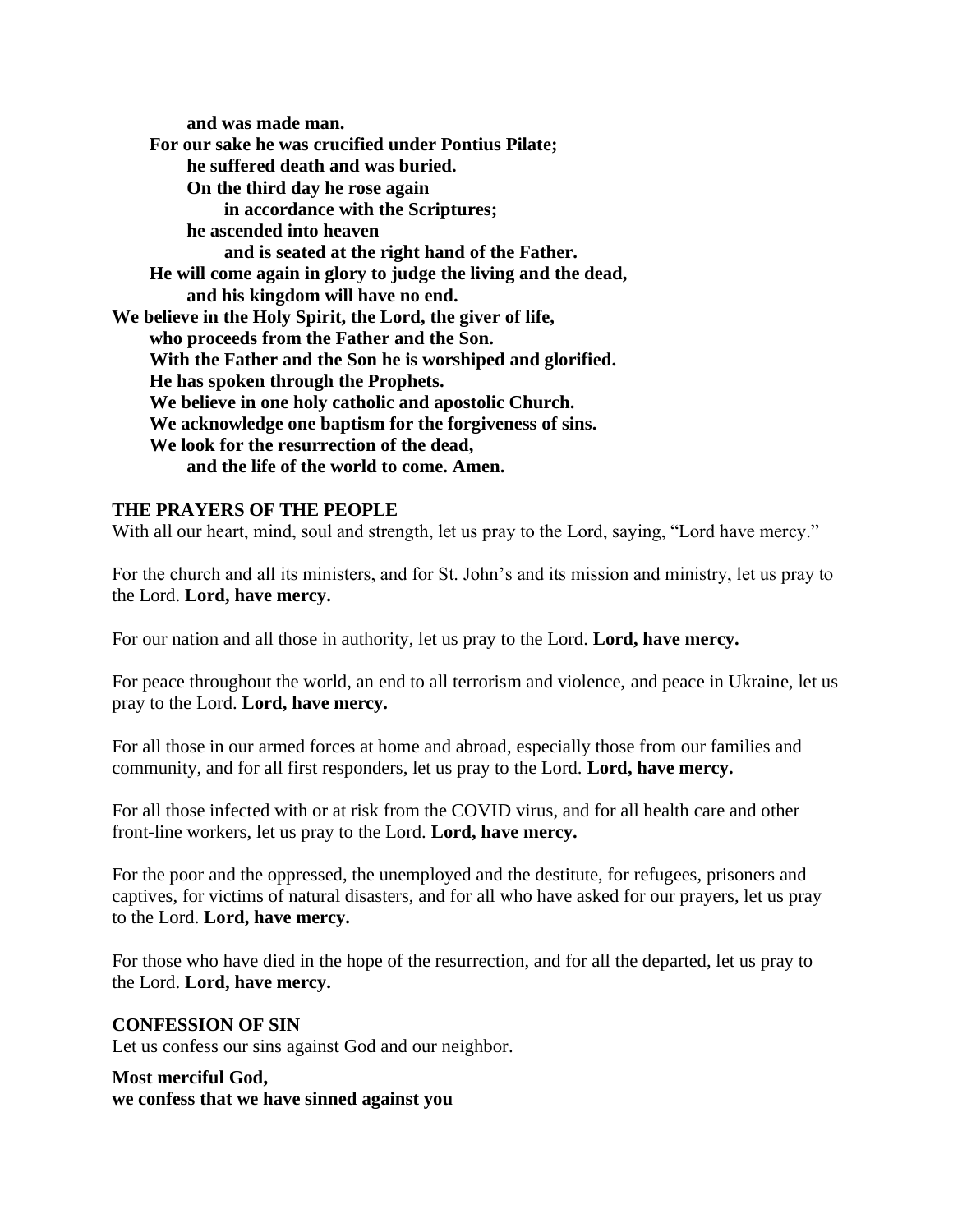**and was made man. For our sake he was crucified under Pontius Pilate; he suffered death and was buried. On the third day he rose again in accordance with the Scriptures; he ascended into heaven and is seated at the right hand of the Father. He will come again in glory to judge the living and the dead, and his kingdom will have no end. We believe in the Holy Spirit, the Lord, the giver of life, who proceeds from the Father and the Son. With the Father and the Son he is worshiped and glorified. He has spoken through the Prophets. We believe in one holy catholic and apostolic Church. We acknowledge one baptism for the forgiveness of sins. We look for the resurrection of the dead, and the life of the world to come. Amen.**

## **THE PRAYERS OF THE PEOPLE**

With all our heart, mind, soul and strength, let us pray to the Lord, saying, "Lord have mercy."

For the church and all its ministers, and for St. John's and its mission and ministry, let us pray to the Lord. **Lord, have mercy.**

For our nation and all those in authority, let us pray to the Lord. **Lord, have mercy.**

For peace throughout the world, an end to all terrorism and violence, and peace in Ukraine, let us pray to the Lord. **Lord, have mercy.**

For all those in our armed forces at home and abroad, especially those from our families and community, and for all first responders, let us pray to the Lord. **Lord, have mercy.**

For all those infected with or at risk from the COVID virus, and for all health care and other front-line workers, let us pray to the Lord. **Lord, have mercy.**

For the poor and the oppressed, the unemployed and the destitute, for refugees, prisoners and captives, for victims of natural disasters, and for all who have asked for our prayers, let us pray to the Lord. **Lord, have mercy.**

For those who have died in the hope of the resurrection, and for all the departed, let us pray to the Lord. **Lord, have mercy.**

#### **CONFESSION OF SIN**

Let us confess our sins against God and our neighbor.

#### **Most merciful God, we confess that we have sinned against you**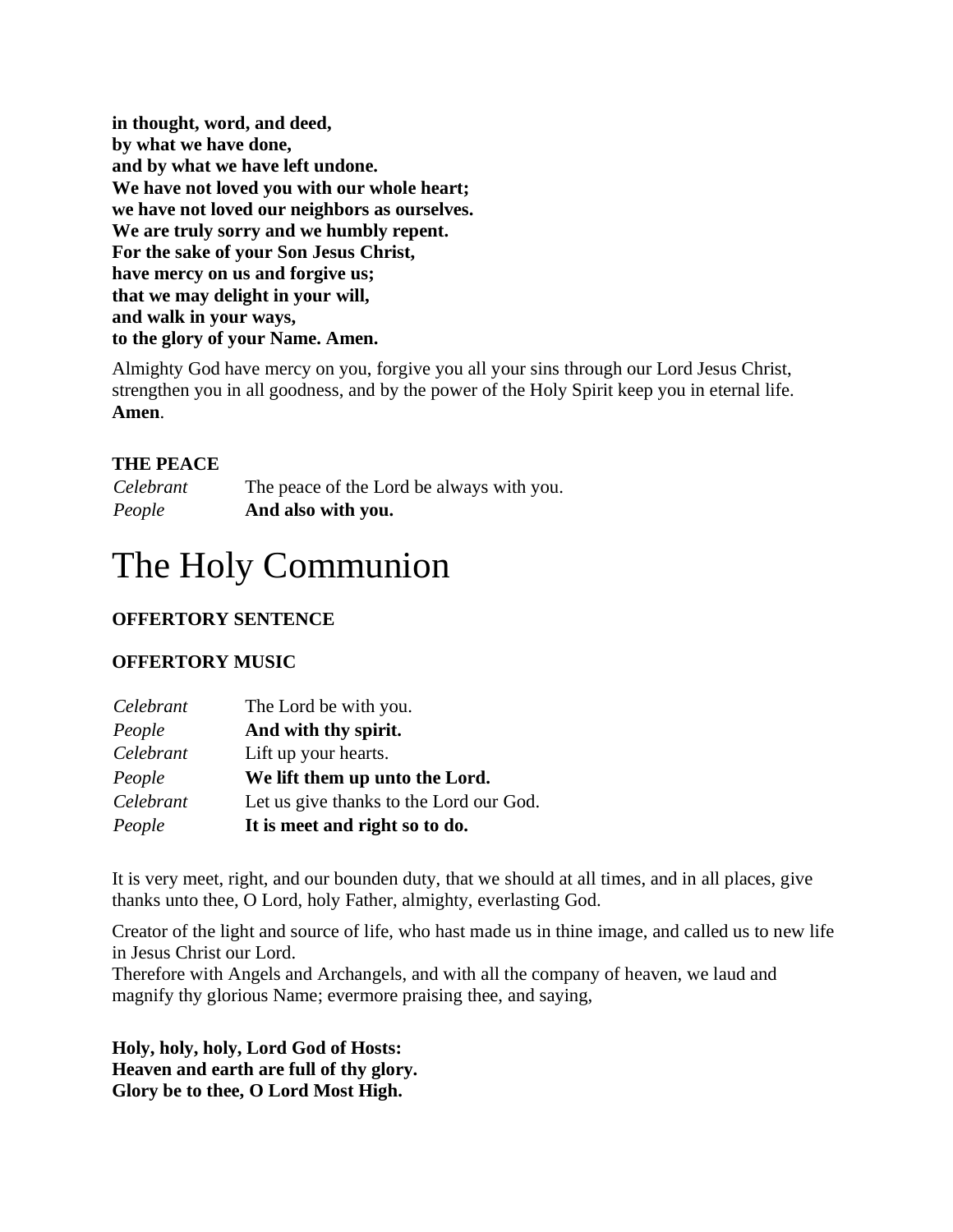**in thought, word, and deed, by what we have done, and by what we have left undone. We have not loved you with our whole heart; we have not loved our neighbors as ourselves. We are truly sorry and we humbly repent. For the sake of your Son Jesus Christ, have mercy on us and forgive us; that we may delight in your will, and walk in your ways, to the glory of your Name. Amen.**

Almighty God have mercy on you, forgive you all your sins through our Lord Jesus Christ, strengthen you in all goodness, and by the power of the Holy Spirit keep you in eternal life. **Amen**.

## **THE PEACE**

*Celebrant* The peace of the Lord be always with you. *People* **And also with you.**

# The Holy Communion

## **OFFERTORY SENTENCE**

## **OFFERTORY MUSIC**

| Celebrant | The Lord be with you.                   |
|-----------|-----------------------------------------|
| People    | And with thy spirit.                    |
| Celebrant | Lift up your hearts.                    |
| People    | We lift them up unto the Lord.          |
| Celebrant | Let us give thanks to the Lord our God. |
| People    | It is meet and right so to do.          |

It is very meet, right, and our bounden duty, that we should at all times, and in all places, give thanks unto thee, O Lord, holy Father, almighty, everlasting God.

Creator of the light and source of life, who hast made us in thine image, and called us to new life in Jesus Christ our Lord.

Therefore with Angels and Archangels, and with all the company of heaven, we laud and magnify thy glorious Name; evermore praising thee, and saying,

**Holy, holy, holy, Lord God of Hosts: Heaven and earth are full of thy glory. Glory be to thee, O Lord Most High.**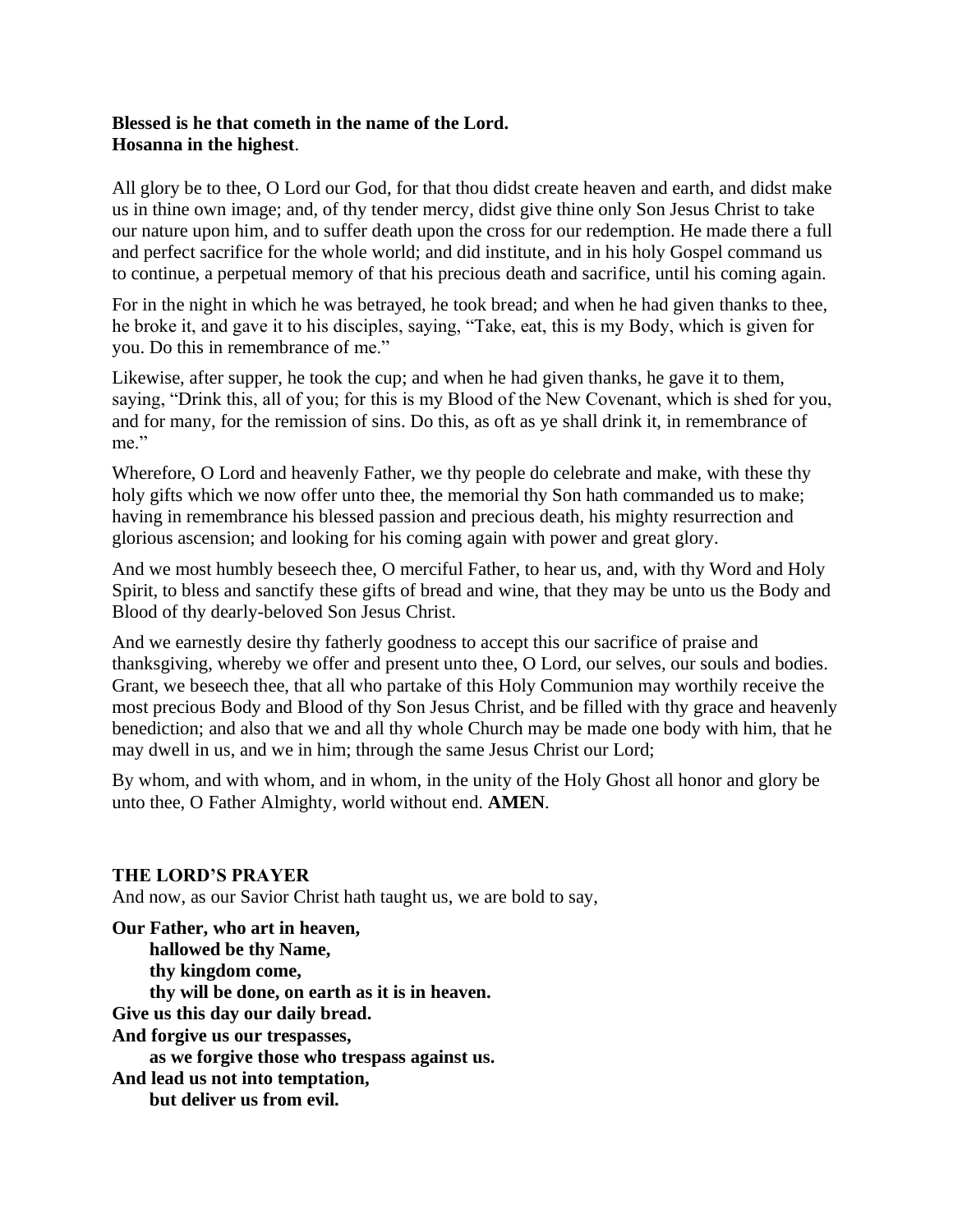## **Blessed is he that cometh in the name of the Lord. Hosanna in the highest**.

All glory be to thee, O Lord our God, for that thou didst create heaven and earth, and didst make us in thine own image; and, of thy tender mercy, didst give thine only Son Jesus Christ to take our nature upon him, and to suffer death upon the cross for our redemption. He made there a full and perfect sacrifice for the whole world; and did institute, and in his holy Gospel command us to continue, a perpetual memory of that his precious death and sacrifice, until his coming again.

For in the night in which he was betrayed, he took bread; and when he had given thanks to thee, he broke it, and gave it to his disciples, saying, "Take, eat, this is my Body, which is given for you. Do this in remembrance of me."

Likewise, after supper, he took the cup; and when he had given thanks, he gave it to them, saying, "Drink this, all of you; for this is my Blood of the New Covenant, which is shed for you, and for many, for the remission of sins. Do this, as oft as ye shall drink it, in remembrance of me."

Wherefore, O Lord and heavenly Father, we thy people do celebrate and make, with these thy holy gifts which we now offer unto thee, the memorial thy Son hath commanded us to make; having in remembrance his blessed passion and precious death, his mighty resurrection and glorious ascension; and looking for his coming again with power and great glory.

And we most humbly beseech thee, O merciful Father, to hear us, and, with thy Word and Holy Spirit, to bless and sanctify these gifts of bread and wine, that they may be unto us the Body and Blood of thy dearly-beloved Son Jesus Christ.

And we earnestly desire thy fatherly goodness to accept this our sacrifice of praise and thanksgiving, whereby we offer and present unto thee, O Lord, our selves, our souls and bodies. Grant, we beseech thee, that all who partake of this Holy Communion may worthily receive the most precious Body and Blood of thy Son Jesus Christ, and be filled with thy grace and heavenly benediction; and also that we and all thy whole Church may be made one body with him, that he may dwell in us, and we in him; through the same Jesus Christ our Lord;

By whom, and with whom, and in whom, in the unity of the Holy Ghost all honor and glory be unto thee, O Father Almighty, world without end. **AMEN***.*

## **THE LORD'S PRAYER**

And now, as our Savior Christ hath taught us, we are bold to say,

**Our Father, who art in heaven, hallowed be thy Name, thy kingdom come, thy will be done, on earth as it is in heaven. Give us this day our daily bread. And forgive us our trespasses, as we forgive those who trespass against us. And lead us not into temptation, but deliver us from evil.**